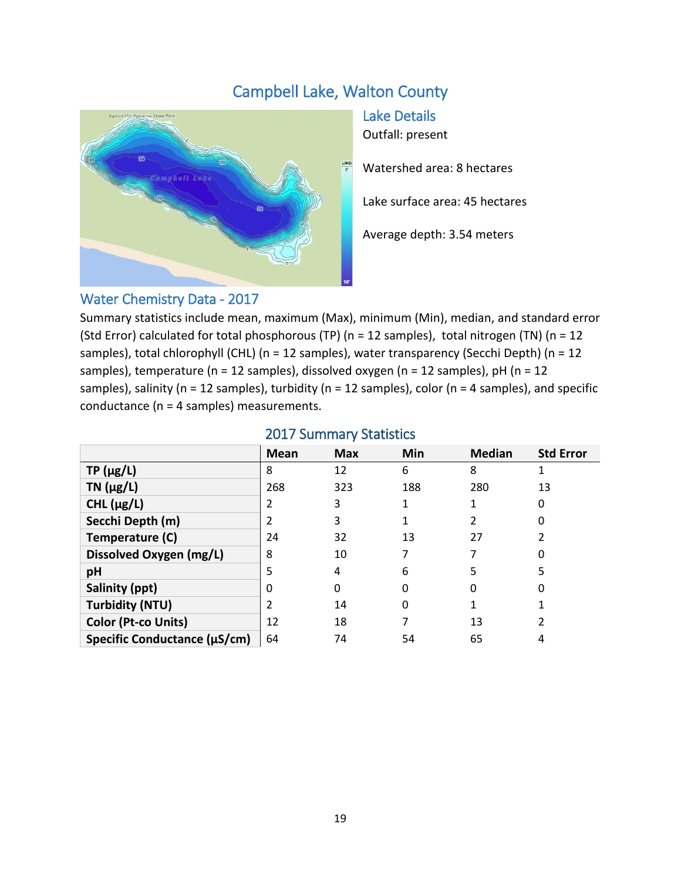# Campbell Lake, Walton County



Lake Details Outfall: present

Watershed area: 8 hectares

Lake surface area: 45 hectares

Average depth: 3.54 meters

### Water Chemistry Data - 2017

Summary statistics include mean, maximum (Max), minimum (Min), median, and standard error (Std Error) calculated for total phosphorous (TP) (n = 12 samples), total nitrogen (TN) (n = 12 samples), total chlorophyll (CHL) (n = 12 samples), water transparency (Secchi Depth) (n = 12 samples), temperature (n = 12 samples), dissolved oxygen (n = 12 samples), pH (n = 12 samples), salinity ( $n = 12$  samples), turbidity ( $n = 12$  samples), color ( $n = 4$  samples), and specific conductance (n = 4 samples) measurements.

|                              | Mean | <b>Max</b> | Min | <b>Median</b> | <b>Std Error</b> |
|------------------------------|------|------------|-----|---------------|------------------|
| $TP(\mu g/L)$                | 8    | 12         | 6   | 8             |                  |
| TN $(\mu g/L)$               | 268  | 323        | 188 | 280           | 13               |
| CHL $(\mu g/L)$              |      | 3          |     |               | 0                |
| Secchi Depth (m)             |      | 3          |     |               | 0                |
| Temperature (C)              | 24   | 32         | 13  | 27            |                  |
| Dissolved Oxygen (mg/L)      | 8    | 10         |     |               |                  |
| pH                           | 5    | 4          | 6   | 5             | 5                |
| Salinity (ppt)               |      | 0          | 0   | 0             | O                |
| <b>Turbidity (NTU)</b>       |      | 14         | 0   |               |                  |
| <b>Color (Pt-co Units)</b>   | 12   | 18         |     | 13            |                  |
| Specific Conductance (µS/cm) | 64   | 74         | 54  | 65            | 4                |

#### 2017 Summary Statistics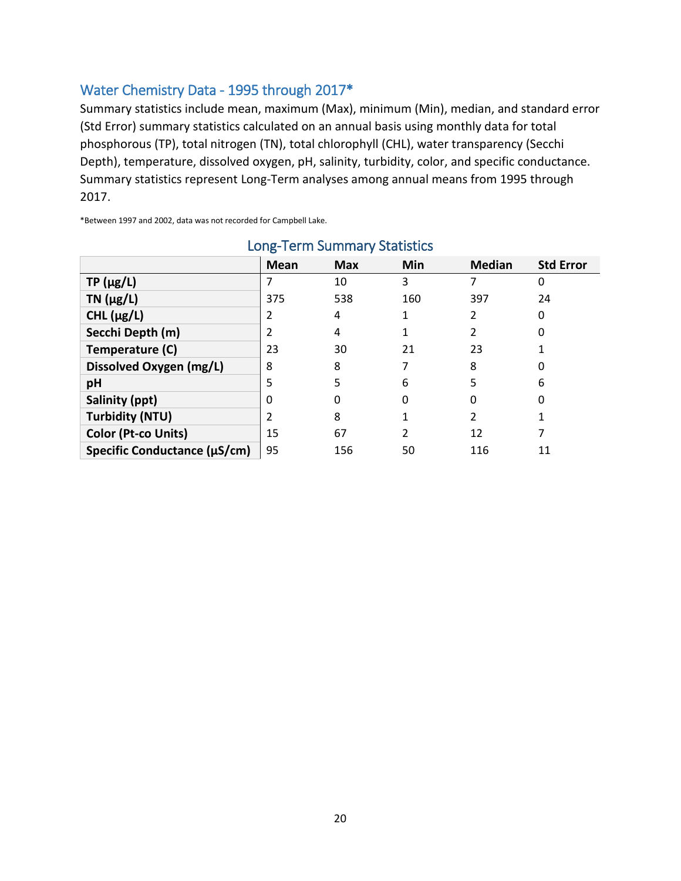### Water Chemistry Data - 1995 through 2017\*

Summary statistics include mean, maximum (Max), minimum (Min), median, and standard error (Std Error) summary statistics calculated on an annual basis using monthly data for total phosphorous (TP), total nitrogen (TN), total chlorophyll (CHL), water transparency (Secchi Depth), temperature, dissolved oxygen, pH, salinity, turbidity, color, and specific conductance. Summary statistics represent Long-Term analyses among annual means from 1995 through 2017.

\*Between 1997 and 2002, data was not recorded for Campbell Lake.

| LUIS TUTTI JUITIITIUI y JEULISCIUS |             |            |     |               |                  |  |  |  |
|------------------------------------|-------------|------------|-----|---------------|------------------|--|--|--|
|                                    | <b>Mean</b> | <b>Max</b> | Min | <b>Median</b> | <b>Std Error</b> |  |  |  |
| $TP(\mu g/L)$                      |             | 10         | 3   |               | 0                |  |  |  |
| TN $(\mu g/L)$                     | 375         | 538        | 160 | 397           | 24               |  |  |  |
| CHL $(\mu g/L)$                    |             | 4          |     |               | 0                |  |  |  |
| Secchi Depth (m)                   |             | 4          |     |               | 0                |  |  |  |
| Temperature (C)                    | 23          | 30         | 21  | 23            |                  |  |  |  |
| Dissolved Oxygen (mg/L)            | 8           | 8          |     | 8             |                  |  |  |  |
| pH                                 | 5           | 5          | 6   | 5             | 6                |  |  |  |
| Salinity (ppt)                     | 0           | 0          | 0   | 0             | 0                |  |  |  |
| <b>Turbidity (NTU)</b>             |             | 8          |     |               |                  |  |  |  |
| Color (Pt-co Units)                | 15          | 67         | 2   | 12            |                  |  |  |  |
| Specific Conductance (µS/cm)       | 95          | 156        | 50  | 116           | 11               |  |  |  |

## Long-Term Summary Statistics